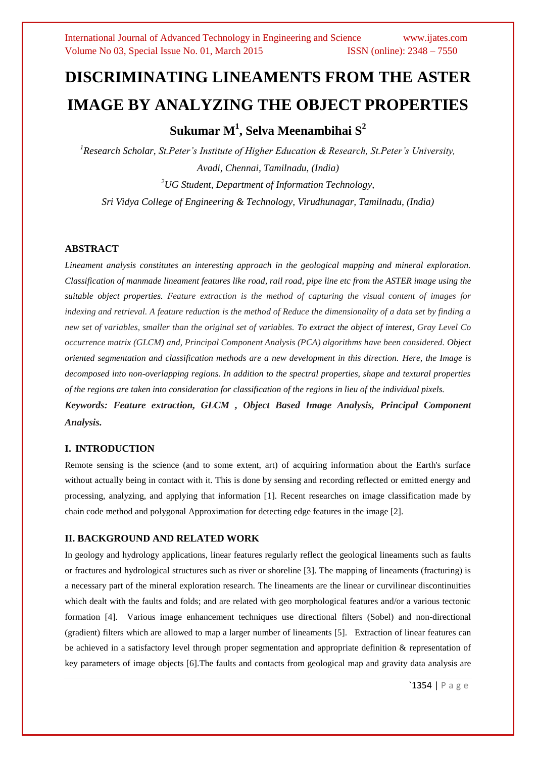# **DISCRIMINATING LINEAMENTS FROM THE ASTER IMAGE BY ANALYZING THE OBJECT PROPERTIES**

## **Sukumar M<sup>1</sup> , Selva Meenambihai S 2**

*<sup>1</sup>Research Scholar, St.Peter's Institute of Higher Education & Research, St.Peter's University, Avadi, Chennai, Tamilnadu, (India) <sup>2</sup>UG Student, Department of Information Technology, Sri Vidya College of Engineering & Technology, Virudhunagar, Tamilnadu, (India)*

## **ABSTRACT**

*Lineament analysis constitutes an interesting approach in the geological mapping and mineral exploration. Classification of manmade lineament features like road, rail road, pipe line etc from the ASTER image using the suitable object properties. Feature extraction is the method of capturing the visual content of images for indexing and retrieval. A feature reduction is the method of Reduce the dimensionality of a data set by finding a new set of variables, smaller than the original set of variables. To extract the object of interest, Gray Level Co occurrence matrix (GLCM) and, Principal Component Analysis (PCA) algorithms have been considered. Object oriented segmentation and classification methods are a new development in this direction. Here, the Image is decomposed into non-overlapping regions. In addition to the spectral properties, shape and textural properties of the regions are taken into consideration for classification of the regions in lieu of the individual pixels.*

*Keywords: Feature extraction, GLCM , Object Based Image Analysis, Principal Component Analysis.*

## **I. INTRODUCTION**

Remote sensing is the science (and to some extent, art) of acquiring information about the Earth's surface without actually being in contact with it. This is done by sensing and recording reflected or emitted energy and processing, analyzing, and applying that information [1]. Recent researches on image classification made by chain code method and polygonal Approximation for detecting edge features in the image [2].

## **II. BACKGROUND AND RELATED WORK**

In geology and hydrology applications, linear features regularly reflect the geological lineaments such as faults or fractures and hydrological structures such as river or shoreline [3]. The mapping of lineaments (fracturing) is a necessary part of the mineral exploration research. The lineaments are the linear or curvilinear discontinuities which dealt with the faults and folds; and are related with geo morphological features and/or a various tectonic formation [4]. Various image enhancement techniques use directional filters (Sobel) and non-directional (gradient) filters which are allowed to map a larger number of lineaments [5]. Extraction of linear features can be achieved in a satisfactory level through proper segmentation and appropriate definition & representation of key parameters of image objects [6].The faults and contacts from geological map and gravity data analysis are

`1354 | P a g e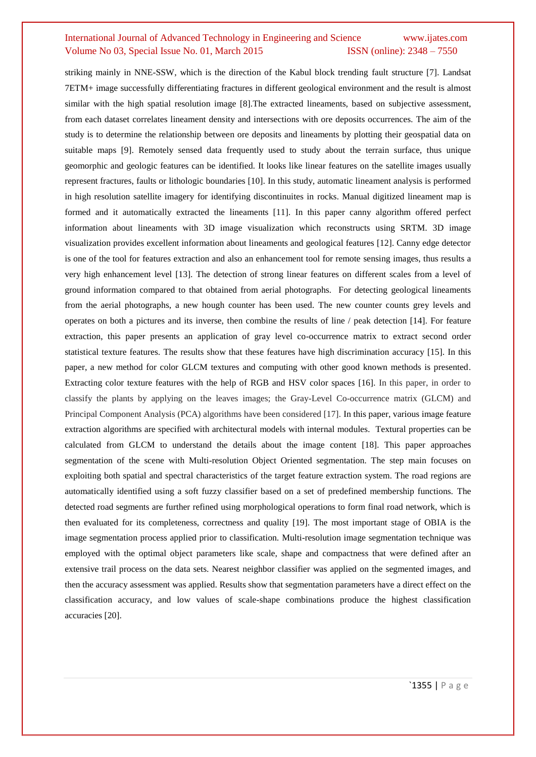striking mainly in NNE-SSW, which is the direction of the Kabul block trending fault structure [7]. Landsat 7ETM+ image successfully differentiating fractures in different geological environment and the result is almost similar with the high spatial resolution image [8].The extracted lineaments, based on subjective assessment, from each dataset correlates lineament density and intersections with ore deposits occurrences. The aim of the study is to determine the relationship between ore deposits and lineaments by plotting their geospatial data on suitable maps [9]. Remotely sensed data frequently used to study about the terrain surface, thus unique geomorphic and geologic features can be identified. It looks like linear features on the satellite images usually represent fractures, faults or lithologic boundaries [10]. In this study, automatic lineament analysis is performed in high resolution satellite imagery for identifying discontinuites in rocks. Manual digitized lineament map is formed and it automatically extracted the lineaments [11]. In this paper canny algorithm offered perfect information about lineaments with 3D image visualization which reconstructs using SRTM. 3D image visualization provides excellent information about lineaments and geological features [12]. Canny edge detector is one of the tool for features extraction and also an enhancement tool for remote sensing images, thus results a very high enhancement level [13]. The detection of strong linear features on different scales from a level of ground information compared to that obtained from aerial photographs. For detecting geological lineaments from the aerial photographs, a new hough counter has been used. The new counter counts grey levels and operates on both a pictures and its inverse, then combine the results of line / peak detection [14]. For feature extraction, this paper presents an application of gray level co-occurrence matrix to extract second order statistical texture features. The results show that these features have high discrimination accuracy [15]. In this paper, a new method for color GLCM textures and computing with other good known methods is presented. Extracting color texture features with the help of RGB and HSV color spaces [16]. In this paper, in order to classify the plants by applying on the leaves images; the Gray-Level Co-occurrence matrix (GLCM) and Principal Component Analysis (PCA) algorithms have been considered [17]. In this paper, various image feature extraction algorithms are specified with architectural models with internal modules. Textural properties can be calculated from GLCM to understand the details about the image content [18]. This paper approaches segmentation of the scene with Multi-resolution Object Oriented segmentation. The step main focuses on exploiting both spatial and spectral characteristics of the target feature extraction system. The road regions are automatically identified using a soft fuzzy classifier based on a set of predefined membership functions. The detected road segments are further refined using morphological operations to form final road network, which is then evaluated for its completeness, correctness and quality [19]. The most important stage of OBIA is the image segmentation process applied prior to classification. Multi-resolution image segmentation technique was employed with the optimal object parameters like scale, shape and compactness that were defined after an extensive trail process on the data sets. Nearest neighbor classifier was applied on the segmented images, and then the accuracy assessment was applied. Results show that segmentation parameters have a direct effect on the classification accuracy, and low values of scale-shape combinations produce the highest classification accuracies [20].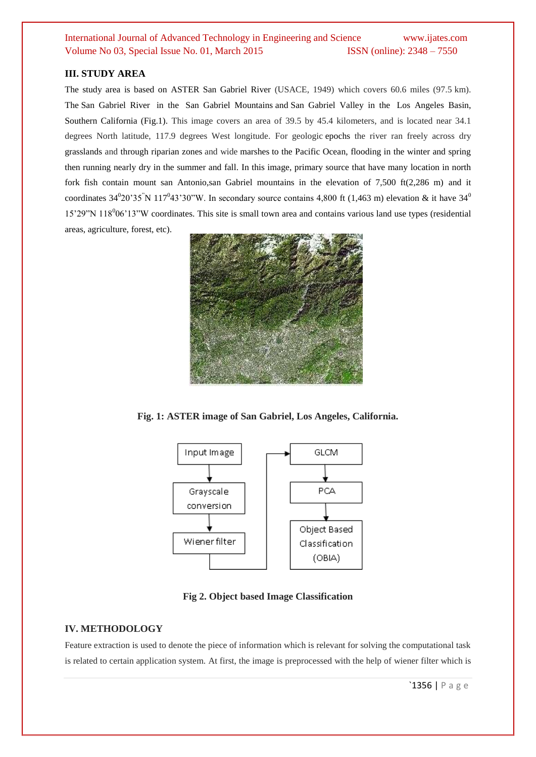## **III. STUDY AREA**

The study area is based on ASTER San Gabriel River (USACE, 1949) which covers 60.6 miles (97.5 km). The San Gabriel River in the San Gabriel Mountains and San Gabriel Valley in the Los Angeles Basin, Southern California (Fig.1). This image covers an area of 39.5 by 45.4 kilometers, and is located near 34.1 degrees North latitude, 117.9 degrees West longitude. For geologic epochs the river ran freely across dry grasslands and through riparian zones and wide marshes to the Pacific Ocean, flooding in the winter and spring then running nearly dry in the summer and fall. In this image, primary source that have many location in north fork fish contain mount san Antonio,san Gabriel mountains in the elevation of 7,500 ft(2,286 m) and it coordinates  $34^020'35''N 117^043'30''W$ . In secondary source contains 4,800 ft (1,463 m) elevation & it have  $34^0$ 15'29"N 118<sup>0</sup>06'13"W coordinates. This site is small town area and contains various land use types (residential areas, agriculture, forest, etc).



**Fig. 1: ASTER image of San Gabriel, Los Angeles, California.**



**Fig 2. Object based Image Classification**

## **IV. METHODOLOGY**

Feature extraction is used to denote the piece of information which is relevant for solving the computational task is related to certain application system. At first, the image is preprocessed with the help of wiener filter which is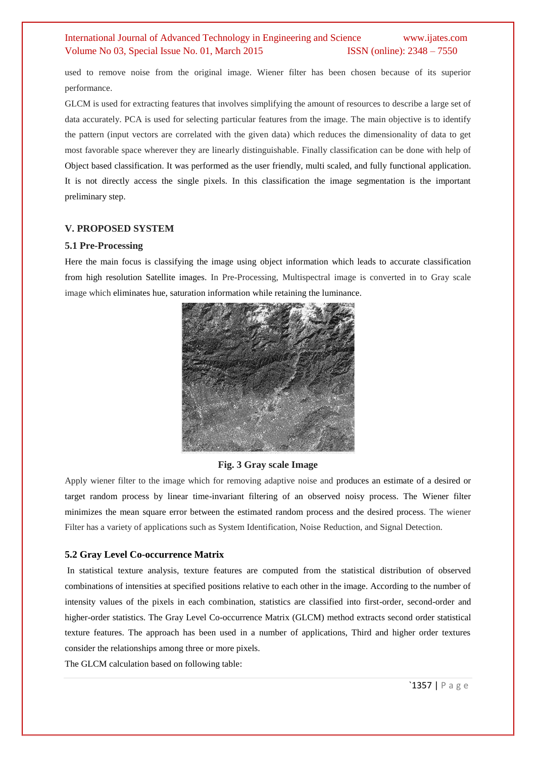used to remove noise from the original image. Wiener filter has been chosen because of its superior performance.

GLCM is used for extracting features that involves simplifying the amount of resources to describe a large set of data accurately. PCA is used for selecting particular features from the image. The main objective is to identify the pattern (input vectors are correlated with the given data) which reduces the dimensionality of data to get most favorable space wherever they are linearly distinguishable. Finally classification can be done with help of Object based classification. It was performed as the user friendly, multi scaled, and fully functional application. It is not directly access the single pixels. In this classification the image segmentation is the important preliminary step.

#### **V. PROPOSED SYSTEM**

#### **5.1 Pre-Processing**

Here the main focus is classifying the image using object information which leads to accurate classification from high resolution Satellite images. In Pre-Processing, Multispectral image is converted in to Gray scale image which eliminates hue, saturation information while retaining the luminance.



#### **Fig. 3 Gray scale Image**

Apply wiener filter to the image which for removing adaptive noise and produces an estimate of a desired or target random process by linear time-invariant filtering of an observed noisy process. The Wiener filter minimizes the mean square error between the estimated random process and the desired process. The wiener Filter has a variety of applications such as System Identification, Noise Reduction, and Signal Detection.

#### **5.2 Gray Level Co-occurrence Matrix**

In statistical texture analysis, texture features are computed from the statistical distribution of observed combinations of intensities at specified positions relative to each other in the image. According to the number of intensity values of the pixels in each combination, statistics are classified into first-order, second-order and higher-order statistics. The Gray Level Co-occurrence Matrix (GLCM) method extracts second order statistical texture features. The approach has been used in a number of applications, Third and higher order textures consider the relationships among three or more pixels.

The GLCM calculation based on following table: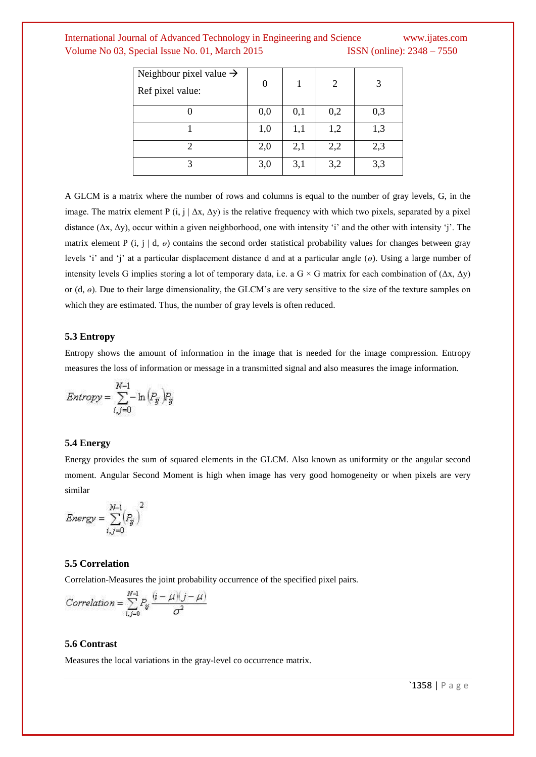| Neighbour pixel value $\rightarrow$<br>Ref pixel value: | 0   |     | 2   | 3   |
|---------------------------------------------------------|-----|-----|-----|-----|
|                                                         | 0,0 | 0,1 | 0,2 | 0,3 |
|                                                         | 1,0 | 1,1 | 1,2 | 1,3 |
|                                                         | 2,0 | 2,1 | 2,2 | 2,3 |
|                                                         | 3,0 | 3,1 | 3,2 | 3,3 |

A GLCM is a matrix where the number of rows and columns is equal to the number of gray levels, G, in the image. The matrix element P (i, j |  $\Delta x$ ,  $\Delta y$ ) is the relative frequency with which two pixels, separated by a pixel distance  $(\Delta x, \Delta y)$ , occur within a given neighborhood, one with intensity 'i' and the other with intensity 'j'. The matrix element P (i, j | d,  $\theta$ ) contains the second order statistical probability values for changes between gray levels "i" and "j" at a particular displacement distance d and at a particular angle (*ө*). Using a large number of intensity levels G implies storing a lot of temporary data, i.e. a G × G matrix for each combination of (Δx, Δy) or (d,  $\theta$ ). Due to their large dimensionality, the GLCM's are very sensitive to the size of the texture samples on which they are estimated. Thus, the number of gray levels is often reduced.

#### **5.3 Entropy**

Entropy shows the amount of information in the image that is needed for the image compression. Entropy measures the loss of information or message in a transmitted signal and also measures the image information.

$$
Entropy = \sum_{i,j=0}^{N-1} - \ln (P_{ij}) P_{ij}
$$

#### **5.4 Energy**

Energy provides the sum of squared elements in the GLCM. Also known as uniformity or the angular second moment. Angular Second Moment is high when image has very good homogeneity or when pixels are very similar

$$
\mathit{Energy} = \sum_{i,j=0}^{N-1} \left(P_{ij}\right)^2
$$

#### **5.5 Correlation**

Correlation-Measures the joint probability occurrence of the specified pixel pairs.

Correlation = 
$$
\sum_{i,j=0}^{N-1} P_{ij} \frac{(i-\mu)(j-\mu)}{\sigma^2}
$$

## **5.6 Contrast**

Measures the local variations in the gray-level co occurrence matrix.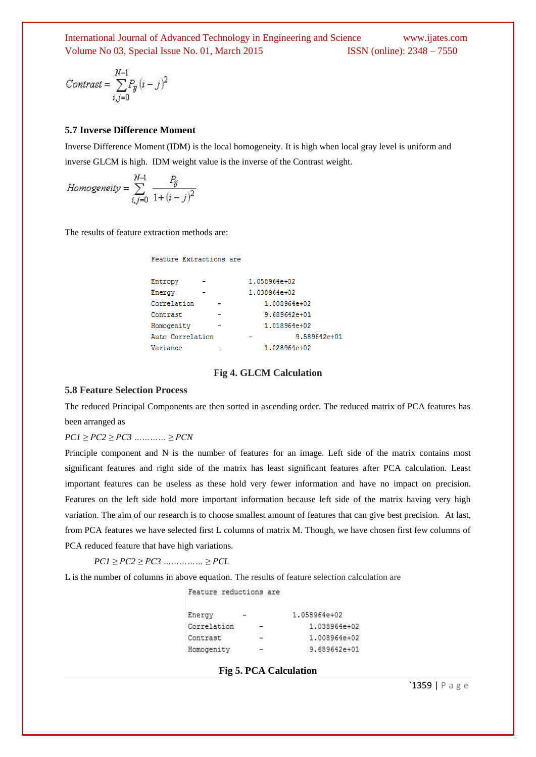$$
Contrast = \sum_{i,j=0}^{N-1} P_{ij} (i-j)^2
$$

#### **5.7 Inverse Difference Moment**

Inverse Difference Moment (IDM) is the local homogeneity. It is high when local gray level is uniform and inverse GLCM is high. IDM weight value is the inverse of the Contrast weight.

$$
Homogeneity = \sum_{i,j=0}^{N-1} \frac{P_{ij}}{1 + (i-j)^2}
$$

The results of feature extraction methods are:

Feature Extractions are

| Entropy          | 1.058964e+02 |              |
|------------------|--------------|--------------|
| Energy           | 1.038964e+02 |              |
| Correlation      |              | 1.008964e+02 |
| Contrast         |              | 9.689642e+01 |
| Homogenity       |              | 1.018964e+02 |
| Auto Correlation |              | 9.589642e+01 |
| Variance         |              | 1.028964e+02 |

#### **Fig 4. GLCM Calculation**

#### **5.8 Feature Selection Process**

The reduced Principal Components are then sorted in ascending order. The reduced matrix of PCA features has been arranged as

#### *PC1 ≥ PC2 ≥ PC3 ………… ≥ PCN*

Principle component and N is the number of features for an image. Left side of the matrix contains most significant features and right side of the matrix has least significant features after PCA calculation. Least important features can be useless as these hold very fewer information and have no impact on precision. Features on the left side hold more important information because left side of the matrix having very high variation. The aim of our research is to choose smallest amount of features that can give best precision. At last, from PCA features we have selected first L columns of matrix M. Though, we have chosen first few columns of PCA reduced feature that have high variations.

*PC1 ≥ PC2 ≥ PC3 …………… ≥ PCL* 

L is the number of columns in above equation. The results of feature selection calculation are

Feature reductions are

| Energy      | $\overline{\phantom{a}}$ | 1.058964e+02 |  |
|-------------|--------------------------|--------------|--|
| Correlation | $-$                      | 1.038964e+02 |  |
| Contrast    | 조직                       | 1.008964e+02 |  |
| Homogenity  |                          | 9.689642e+01 |  |

#### **Fig 5. PCA Calculation**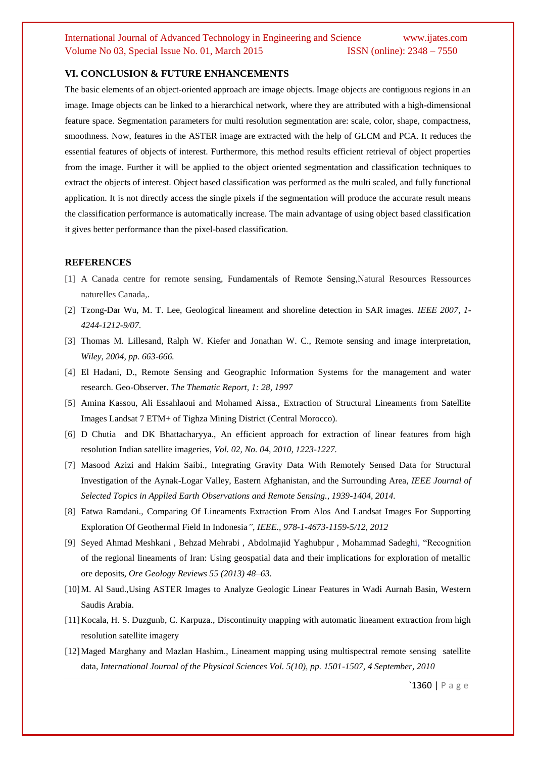#### **VI. CONCLUSION & FUTURE ENHANCEMENTS**

The basic elements of an object-oriented approach are image objects. Image objects are contiguous regions in an image. Image objects can be linked to a hierarchical network, where they are attributed with a high-dimensional feature space. Segmentation parameters for multi resolution segmentation are: scale, color, shape, compactness, smoothness. Now, features in the ASTER image are extracted with the help of GLCM and PCA. It reduces the essential features of objects of interest. Furthermore, this method results efficient retrieval of object properties from the image. Further it will be applied to the object oriented segmentation and classification techniques to extract the objects of interest. Object based classification was performed as the multi scaled, and fully functional application. It is not directly access the single pixels if the segmentation will produce the accurate result means the classification performance is automatically increase. The main advantage of using object based classification it gives better performance than the pixel-based classification.

#### **REFERENCES**

- [1] A Canada centre for remote sensing, Fundamentals of Remote Sensing,Natural Resources Ressources naturelles Canada,.
- [2] Tzong-Dar Wu, M. T. Lee, Geological lineament and shoreline detection in SAR images. *IEEE 2007, 1- 4244-1212-9/07.*
- [3] Thomas M. Lillesand, Ralph W. Kiefer and Jonathan W. C., Remote sensing and image interpretation, *Wiley, 2004, pp. 663-666.*
- [4] El Hadani, D., Remote Sensing and Geographic Information Systems for the management and water research. Geo-Observer. *The Thematic Report, 1: 28, 1997*
- [5] Amina Kassou, Ali Essahlaoui and Mohamed Aissa., Extraction of Structural Lineaments from Satellite Images Landsat 7 ETM+ of Tighza Mining District (Central Morocco).
- [6] D Chutia and DK Bhattacharyya., An efficient approach for extraction of linear features from high resolution Indian satellite imageries, *Vol. 02, No. 04, 2010, 1223-1227.*
- [7] Masood Azizi and Hakim Saibi., Integrating Gravity Data With Remotely Sensed Data for Structural Investigation of the Aynak-Logar Valley, Eastern Afghanistan, and the Surrounding Area, *IEEE Journal of Selected Topics in Applied Earth Observations and Remote Sensing., 1939-1404, 2014.*
- [8] Fatwa Ramdani., Comparing Of Lineaments Extraction From Alos And Landsat Images For Supporting Exploration Of Geothermal Field In Indonesia*", IEEE., 978-1-4673-1159-5/12, 2012*
- [9] Seyed Ahmad Meshkani , Behzad Mehrabi , Abdolmajid Yaghubpur , Mohammad Sadeghi, "Recognition of the regional lineaments of Iran: Using geospatial data and their implications for exploration of metallic ore deposits, *Ore Geology Reviews 55 (2013) 48–63.*
- [10]M. Al Saud.,Using ASTER Images to Analyze Geologic Linear Features in Wadi Aurnah Basin, Western Saudis Arabia.
- [11]Kocala, H. S. Duzgunb, C. Karpuza., Discontinuity mapping with automatic lineament extraction from high resolution satellite imagery
- [12]Maged Marghany and Mazlan Hashim., Lineament mapping using multispectral remote sensing satellite data, *International Journal of the Physical Sciences Vol. 5(10), pp. 1501-1507, 4 September, 2010*

`1360 | P a g e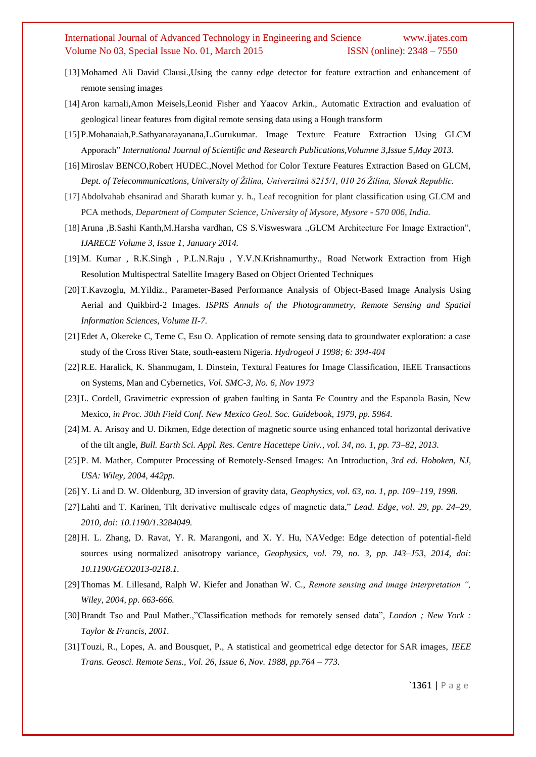- [13]Mohamed Ali David Clausi.,Using the canny edge detector for feature extraction and enhancement of remote sensing images
- [14]Aron karnali,Amon Meisels,Leonid Fisher and Yaacov Arkin., Automatic Extraction and evaluation of geological linear features from digital remote sensing data using a Hough transform
- [15]P.Mohanaiah,P.Sathyanarayanana,L.Gurukumar. Image Texture Feature Extraction Using GLCM Apporach" *International Journal of Scientific and Research Publications,Volumne 3,Issue 5,May 2013.*
- [16]Miroslav BENCO,Robert HUDEC.,Novel Method for Color Texture Features Extraction Based on GLCM, *Dept. of Telecommunications, University of Žilina, Univerzitná 8215/1, 010 26 Žilina, Slovak Republic.*
- [17]Abdolvahab ehsanirad and Sharath kumar y. h., Leaf recognition for plant classification using GLCM and PCA methods, *Department of Computer Science, University of Mysore, Mysore - 570 006, India.*
- [18]Aruna ,B.Sashi Kanth,M.Harsha vardhan, CS S.Visweswara .,GLCM Architecture For Image Extraction", *IJARECE Volume 3, Issue 1, January 2014.*
- [19]M. Kumar , R.K.Singh , P.L.N.Raju , Y.V.N.Krishnamurthy., Road Network Extraction from High Resolution Multispectral Satellite Imagery Based on Object Oriented Techniques
- [20]T.Kavzoglu, M.Yildiz., Parameter-Based Performance Analysis of Object-Based Image Analysis Using Aerial and Quikbird-2 Images. *ISPRS Annals of the Photogrammetry, Remote Sensing and Spatial Information Sciences, Volume II-7.*
- [21]Edet A, Okereke C, Teme C, Esu O. Application of remote sensing data to groundwater exploration: a case study of the Cross River State, south-eastern Nigeria. *Hydrogeol J 1998; 6: 394-404*
- [22]R.E. Haralick, K. Shanmugam, I. Dinstein, Textural Features for Image Classification, IEEE Transactions on Systems, Man and Cybernetics, *Vol. SMC-3, No. 6, Nov 1973*
- [23]L. Cordell, Gravimetric expression of graben faulting in Santa Fe Country and the Espanola Basin, New Mexico*, in Proc. 30th Field Conf. New Mexico Geol. Soc. Guidebook, 1979, pp. 5964.*
- [24]M. A. Arisoy and U. Dikmen, Edge detection of magnetic source using enhanced total horizontal derivative of the tilt angle, *Bull. Earth Sci. Appl. Res. Centre Hacettepe Univ., vol. 34, no. 1, pp. 73–82, 2013.*
- [25]P. M. Mather, Computer Processing of Remotely-Sensed Images: An Introduction, *3rd ed. Hoboken, NJ, USA: Wiley, 2004, 442pp.*
- [26]Y. Li and D. W. Oldenburg, 3D inversion of gravity data, *Geophysics, vol. 63, no. 1, pp. 109–119, 1998.*
- [27]Lahti and T. Karinen, Tilt derivative multiscale edges of magnetic data," *Lead. Edge, vol. 29, pp. 24–29, 2010, doi: 10.1190/1.3284049.*
- [28]H. L. Zhang, D. Ravat, Y. R. Marangoni, and X. Y. Hu, NAVedge: Edge detection of potential-field sources using normalized anisotropy variance, *Geophysics, vol. 79, no. 3, pp. J43–J53, 2014, doi: 10.1190/GEO2013-0218.1.*
- [29]Thomas M. Lillesand, Ralph W. Kiefer and Jonathan W. C., *Remote sensing and image interpretation ", Wiley, 2004, pp. 663-666.*
- [30]Brandt Tso and Paul Mather.,"Classification methods for remotely sensed data", *London ; New York : Taylor & Francis, 2001.*
- [31]Touzi, R., Lopes, A. and Bousquet, P., A statistical and geometrical edge detector for SAR images, *IEEE Trans. Geosci. Remote Sens., Vol. 26, Issue 6, Nov. 1988, pp.764 – 773.*